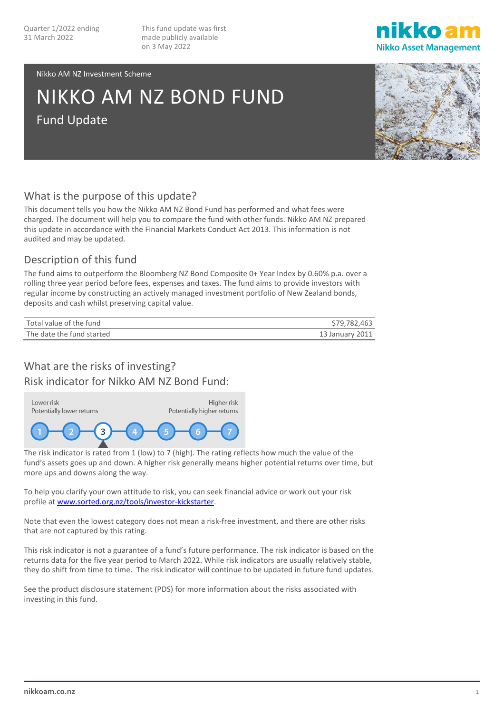This fund update was first made publicly available on 3 May 2022



#### Nikko AM NZ Investment Scheme

# NIKKO AM NZ BOND FUND Fund Update

## What is the purpose of this update?

This document tells you how the Nikko AM NZ Bond Fund has performed and what fees were charged. The document will help you to compare the fund with other funds. Nikko AM NZ prepared this update in accordance with the Financial Markets Conduct Act 2013. This information is not audited and may be updated.

## Description of this fund

The fund aims to outperform the Bloomberg NZ Bond Composite 0+ Year Index by 0.60% p.a. over a rolling three year period before fees, expenses and taxes. The fund aims to provide investors with regular income by constructing an actively managed investment portfolio of New Zealand bonds, deposits and cash whilst preserving capital value.

| Total value of the fund   | \$79,782,463    |
|---------------------------|-----------------|
| The date the fund started | 13 January 2011 |

## What are the risks of investing?

Risk indicator for Nikko AM NZ Bond Fund:



The risk indicator is rated from 1 (low) to 7 (high). The rating reflects how much the value of the fund's assets goes up and down. A higher risk generally means higher potential returns over time, but more ups and downs along the way.

To help you clarify your own attitude to risk, you can seek financial advice or work out your risk profile a[t www.sorted.org.nz/tools/investor-kickstarter.](http://www.sorted.org.nz/tools/investor-kickstarter)

Note that even the lowest category does not mean a risk-free investment, and there are other risks that are not captured by this rating.

This risk indicator is not a guarantee of a fund's future performance. The risk indicator is based on the returns data for the five year period to March 2022. While risk indicators are usually relatively stable, they do shift from time to time. The risk indicator will continue to be updated in future fund updates.

See the product disclosure statement (PDS) for more information about the risks associated with investing in this fund.

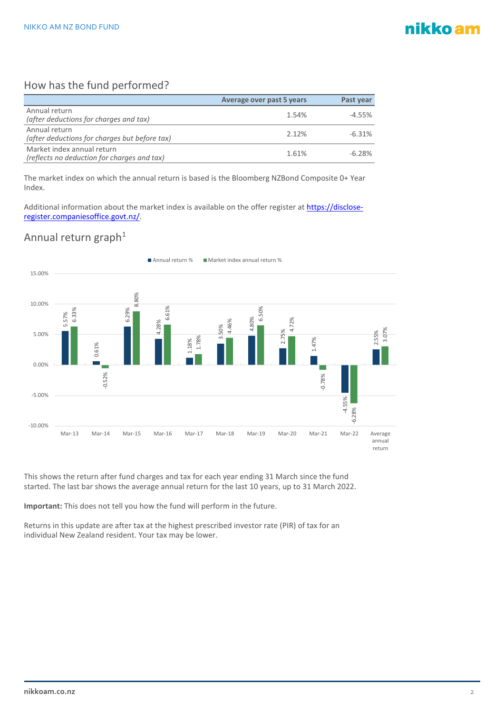## nikko am

## How has the fund performed?

|                                                                           | Average over past 5 years | Past year |
|---------------------------------------------------------------------------|---------------------------|-----------|
| Annual return<br>(after deductions for charges and tax)                   | 1.54%                     | $-4.55%$  |
| Annual return<br>(after deductions for charges but before tax)            | 2.12%                     | $-6.31%$  |
| Market index annual return<br>(reflects no deduction for charges and tax) | 1.61%                     | $-6.28%$  |

The market index on which the annual return is based is the Bloomberg NZBond Composite 0+ Year Index.

Additional information about the market index is available on the offer register at [https://disclose](https://disclose-register.companiesoffice.govt.nz/)[register.companiesoffice.govt.nz/.](https://disclose-register.companiesoffice.govt.nz/)

## Annual return graph $1$



This shows the return after fund charges and tax for each year ending 31 March since the fund started. The last bar shows the average annual return for the last 10 years, up to 31 March 2022.

**Important:** This does not tell you how the fund will perform in the future.

Returns in this update are after tax at the highest prescribed investor rate (PIR) of tax for an individual New Zealand resident. Your tax may be lower.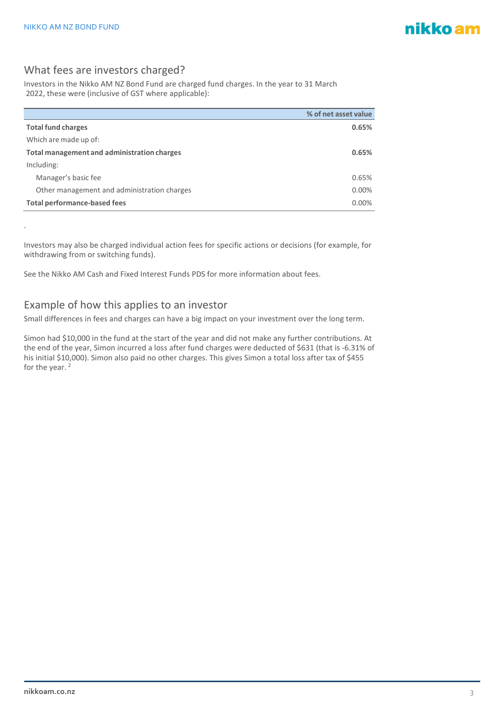.

## What fees are investors charged?

Investors in the Nikko AM NZ Bond Fund are charged fund charges. In the year to 31 March 2022, these were (inclusive of GST where applicable):

|                                             | % of net asset value |
|---------------------------------------------|----------------------|
| <b>Total fund charges</b>                   | 0.65%                |
| Which are made up of:                       |                      |
| Total management and administration charges | 0.65%                |
| Including:                                  |                      |
| Manager's basic fee                         | 0.65%                |
| Other management and administration charges | 0.00%                |
| <b>Total performance-based fees</b>         | 0.00%                |

Investors may also be charged individual action fees for specific actions or decisions (for example, for withdrawing from or switching funds).

See the Nikko AM Cash and Fixed Interest Funds PDS for more information about fees.

#### Example of how this applies to an investor

Small differences in fees and charges can have a big impact on your investment over the long term.

Simon had \$10,000 in the fund at the start of the year and did not make any further contributions. At the end of the year, Simon incurred a loss after fund charges were deducted of \$631 (that is -6.31% of his initial \$10,000). Simon also paid no other charges. This gives Simon a total loss after tax of \$455 for the year.  $2$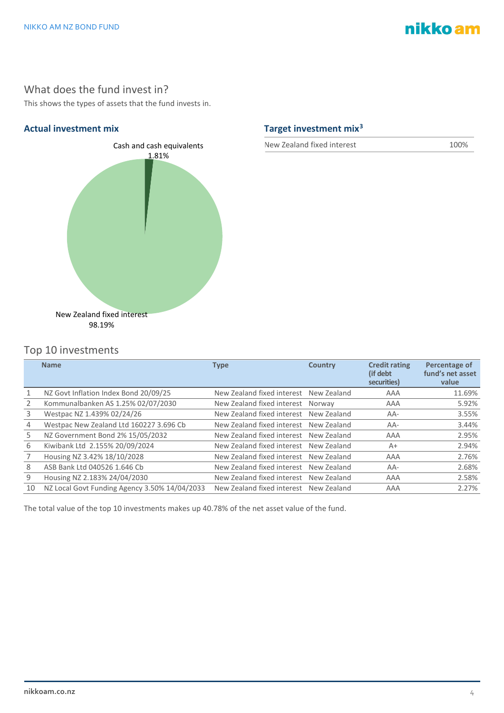# nikko am

## What does the fund invest in?

This shows the types of assets that the fund invests in.



## **Actual investment mix Target investment mix[3](#page-4-2)**

New Zealand fixed interest 100%

## Top 10 investments

|    | <b>Name</b>                                   | <b>Type</b>                            | <b>Country</b> | <b>Credit rating</b><br>(if debt)<br>securities) | Percentage of<br>fund's net asset<br>value |
|----|-----------------------------------------------|----------------------------------------|----------------|--------------------------------------------------|--------------------------------------------|
|    | NZ Govt Inflation Index Bond 20/09/25         | New Zealand fixed interest New Zealand |                | AAA                                              | 11.69%                                     |
|    | Kommunalbanken AS 1.25% 02/07/2030            | New Zealand fixed interest Norway      |                | AAA                                              | 5.92%                                      |
| 3  | Westpac NZ 1.439% 02/24/26                    | New Zealand fixed interest New Zealand |                | $AA-$                                            | 3.55%                                      |
| 4  | Westpac New Zealand Ltd 160227 3.696 Cb       | New Zealand fixed interest New Zealand |                | AA-                                              | 3.44%                                      |
| 5. | NZ Government Bond 2% 15/05/2032              | New Zealand fixed interest New Zealand |                | AAA                                              | 2.95%                                      |
| 6  | Kiwibank Ltd 2.155% 20/09/2024                | New Zealand fixed interest New Zealand |                | $A+$                                             | 2.94%                                      |
|    | Housing NZ 3.42% 18/10/2028                   | New Zealand fixed interest New Zealand |                | AAA                                              | 2.76%                                      |
| 8  | ASB Bank Ltd 040526 1.646 Cb                  | New Zealand fixed interest New Zealand |                | AA-                                              | 2.68%                                      |
| 9  | Housing NZ 2.183% 24/04/2030                  | New Zealand fixed interest New Zealand |                | AAA                                              | 2.58%                                      |
| 10 | NZ Local Govt Funding Agency 3.50% 14/04/2033 | New Zealand fixed interest New Zealand |                | AAA                                              | 2.27%                                      |

The total value of the top 10 investments makes up 40.78% of the net asset value of the fund.